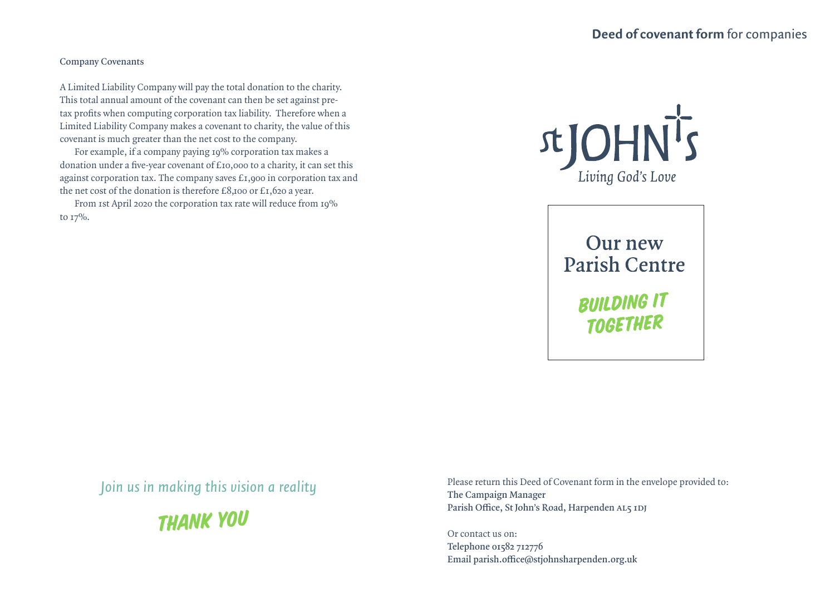## **Company Covenants**

A Limited Liability Company will pay the total donation to the charity. This total annual amount of the covenant can then be set against pretax profits when computing corporation tax liability. Therefore when a Limited Liability Company makes a covenant to charity, the value of this covenant is much greater than the net cost to the company.

For example, if a company paying 19% corporation tax makes a donation under a five-year covenant of £10,000 to a charity, it can set this against corporation tax. The company saves £1,900 in corporation tax and the net cost of the donation is therefore £8,100 or £1,620 a year.

From 1st April 2020 the corporation tax rate will reduce from 19% to  $17\%$ .



Our new **Parish Centre** 

> **BUILDING IT TOGETHER**

*Join us in making this vision a reality*

THANK you

Please return this Deed of Covenant form in the envelope provided to: **The Campaign Manager Parish Office, St John's Road, Harpenden AL5 1DJ**

Or contact us on: **Telephone 01582 712776 Email parish.office@stjohnsharpenden.org.uk**